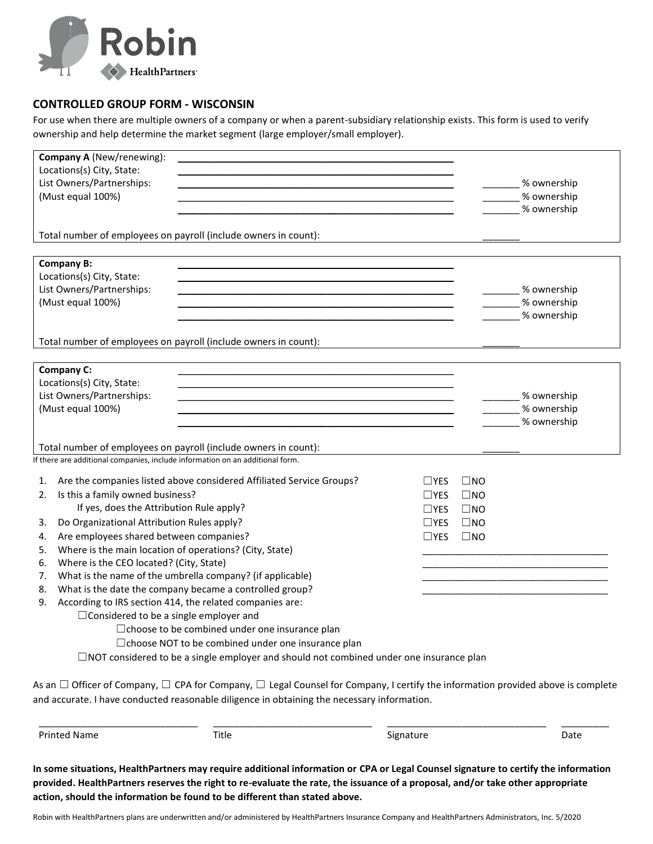

## **CONTROLLED GROUP FORM - WISCONSIN**

For use when there are multiple owners of a company or when a parent-subsidiary relationship exists. This form is used to verify ownership and help determine the market segment (large employer/small employer).

| 3.<br>4.<br>5.<br>6.<br>7.<br>8.<br>9. |                                                                                                      | $\Box$ NOT considered to be a single employer and should not combined under one insurance plan<br>As an $\Box$ Officer of Company, $\Box$ CPA for Company, $\Box$ Legal Counsel for Company, I certify the information provided above is complete<br>and accurate. I have conducted reasonable diligence in obtaining the necessary information. |              |              |                            |
|----------------------------------------|------------------------------------------------------------------------------------------------------|--------------------------------------------------------------------------------------------------------------------------------------------------------------------------------------------------------------------------------------------------------------------------------------------------------------------------------------------------|--------------|--------------|----------------------------|
|                                        |                                                                                                      |                                                                                                                                                                                                                                                                                                                                                  |              |              |                            |
|                                        |                                                                                                      |                                                                                                                                                                                                                                                                                                                                                  |              |              |                            |
|                                        |                                                                                                      |                                                                                                                                                                                                                                                                                                                                                  |              |              |                            |
|                                        |                                                                                                      | □ choose NOT to be combined under one insurance plan                                                                                                                                                                                                                                                                                             |              |              |                            |
|                                        |                                                                                                      | □ choose to be combined under one insurance plan                                                                                                                                                                                                                                                                                                 |              |              |                            |
|                                        | $\Box$ Considered to be a single employer and                                                        |                                                                                                                                                                                                                                                                                                                                                  |              |              |                            |
|                                        | According to IRS section 414, the related companies are:                                             |                                                                                                                                                                                                                                                                                                                                                  |              |              |                            |
|                                        | What is the date the company became a controlled group?                                              |                                                                                                                                                                                                                                                                                                                                                  |              |              |                            |
|                                        | Where is the CEO located? (City, State)<br>What is the name of the umbrella company? (if applicable) |                                                                                                                                                                                                                                                                                                                                                  |              |              |                            |
|                                        | Where is the main location of operations? (City, State)                                              |                                                                                                                                                                                                                                                                                                                                                  |              |              |                            |
|                                        | Are employees shared between companies?                                                              |                                                                                                                                                                                                                                                                                                                                                  | $\Box$ YES   | $\square$ NO |                            |
|                                        | Do Organizational Attribution Rules apply?                                                           |                                                                                                                                                                                                                                                                                                                                                  | $\Box$ YES   | $\square$ NO |                            |
|                                        | If yes, does the Attribution Rule apply?                                                             |                                                                                                                                                                                                                                                                                                                                                  | $\Box$ YES   | $\square$ NO |                            |
| 2.                                     | Is this a family owned business?                                                                     |                                                                                                                                                                                                                                                                                                                                                  | $\sqcup$ YES | $\square$ NO |                            |
| 1.                                     |                                                                                                      | Are the companies listed above considered Affiliated Service Groups?                                                                                                                                                                                                                                                                             | $\sqcup$ YES | $\Box$ NO    |                            |
|                                        | If there are additional companies, include information on an additional form.                        |                                                                                                                                                                                                                                                                                                                                                  |              |              |                            |
|                                        |                                                                                                      | Total number of employees on payroll (include owners in count):                                                                                                                                                                                                                                                                                  |              |              |                            |
|                                        |                                                                                                      |                                                                                                                                                                                                                                                                                                                                                  |              |              | % ownership                |
|                                        | (Must equal 100%)                                                                                    | <u> 1989 - Johann Barn, amerikansk politiker (d. 1989)</u>                                                                                                                                                                                                                                                                                       |              |              | % ownership                |
|                                        | List Owners/Partnerships:                                                                            |                                                                                                                                                                                                                                                                                                                                                  |              |              | _____% ownership           |
|                                        | Locations(s) City, State:                                                                            |                                                                                                                                                                                                                                                                                                                                                  |              |              |                            |
| <b>Company C:</b>                      |                                                                                                      |                                                                                                                                                                                                                                                                                                                                                  |              |              |                            |
|                                        |                                                                                                      |                                                                                                                                                                                                                                                                                                                                                  |              |              |                            |
|                                        |                                                                                                      | Total number of employees on payroll (include owners in count):                                                                                                                                                                                                                                                                                  |              |              |                            |
|                                        |                                                                                                      |                                                                                                                                                                                                                                                                                                                                                  |              |              | % ownership                |
| (Must equal 100%)                      |                                                                                                      |                                                                                                                                                                                                                                                                                                                                                  |              |              | % ownership                |
| List Owners/Partnerships:              |                                                                                                      |                                                                                                                                                                                                                                                                                                                                                  |              |              | _____% ownership           |
|                                        | Locations(s) City, State:                                                                            |                                                                                                                                                                                                                                                                                                                                                  |              |              |                            |
| <b>Company B:</b>                      |                                                                                                      |                                                                                                                                                                                                                                                                                                                                                  |              |              |                            |
|                                        |                                                                                                      | Total number of employees on payroll (include owners in count):                                                                                                                                                                                                                                                                                  |              |              |                            |
|                                        |                                                                                                      |                                                                                                                                                                                                                                                                                                                                                  |              |              |                            |
|                                        |                                                                                                      |                                                                                                                                                                                                                                                                                                                                                  |              |              | % ownership<br>% ownership |
|                                        | List Owners/Partnerships:<br>(Must equal 100%)                                                       |                                                                                                                                                                                                                                                                                                                                                  |              |              | _ % ownership              |
|                                        | Locations(s) City, State:                                                                            |                                                                                                                                                                                                                                                                                                                                                  |              |              |                            |
|                                        | Company A (New/renewing):                                                                            |                                                                                                                                                                                                                                                                                                                                                  |              |              |                            |

**In some situations, HealthPartners may require additional information or CPA or Legal Counsel signature to certify the information provided. HealthPartners reserves the right to re-evaluate the rate, the issuance of a proposal, and/or take other appropriate action, should the information be found to be different than stated above.** 

Robin with HealthPartners plans are underwritten and/or administered by HealthPartners Insurance Company and HealthPartners Administrators, Inc. 5/2020